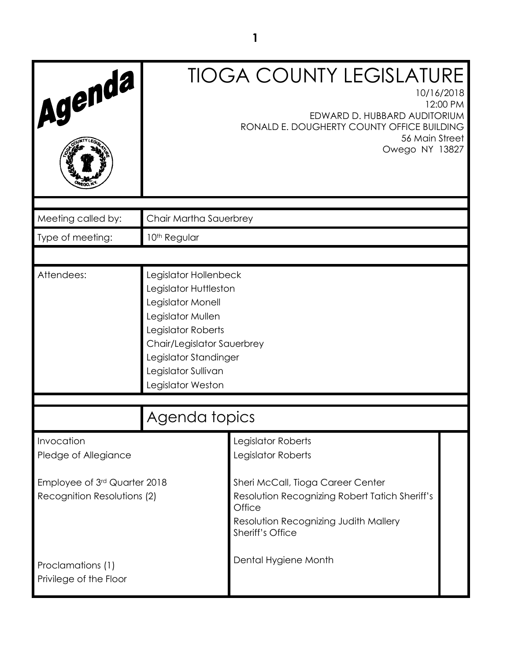| Agenda                                                      | <b>TIOGA COUNTY LEGISLATURE</b><br>10/16/2018<br>12:00 PM<br>EDWARD D. HUBBARD AUDITORIUM<br>RONALD E. DOUGHERTY COUNTY OFFICE BUILDING<br>56 Main Street<br>Owego NY 13827                                       |                                                                                                                                                            |  |
|-------------------------------------------------------------|-------------------------------------------------------------------------------------------------------------------------------------------------------------------------------------------------------------------|------------------------------------------------------------------------------------------------------------------------------------------------------------|--|
| Meeting called by:                                          | Chair Martha Sauerbrey                                                                                                                                                                                            |                                                                                                                                                            |  |
| Type of meeting:                                            | 10 <sup>th</sup> Regular                                                                                                                                                                                          |                                                                                                                                                            |  |
|                                                             |                                                                                                                                                                                                                   |                                                                                                                                                            |  |
| Attendees:                                                  | Legislator Hollenbeck<br>Legislator Huttleston<br>Legislator Monell<br>Legislator Mullen<br>Legislator Roberts<br>Chair/Legislator Sauerbrey<br>Legislator Standinger<br>Legislator Sullivan<br>Legislator Weston |                                                                                                                                                            |  |
|                                                             | Agenda topics                                                                                                                                                                                                     |                                                                                                                                                            |  |
| Invocation<br>Pledge of Allegiance                          |                                                                                                                                                                                                                   | Legislator Roberts<br>Legislator Roberts                                                                                                                   |  |
| Employee of 3rd Quarter 2018<br>Recognition Resolutions (2) |                                                                                                                                                                                                                   | Sheri McCall, Tioga Career Center<br>Resolution Recognizing Robert Tatich Sheriff's<br>Office<br>Resolution Recognizing Judith Mallery<br>Sheriff's Office |  |
| Proclamations (1)<br>Privilege of the Floor                 |                                                                                                                                                                                                                   | Dental Hygiene Month                                                                                                                                       |  |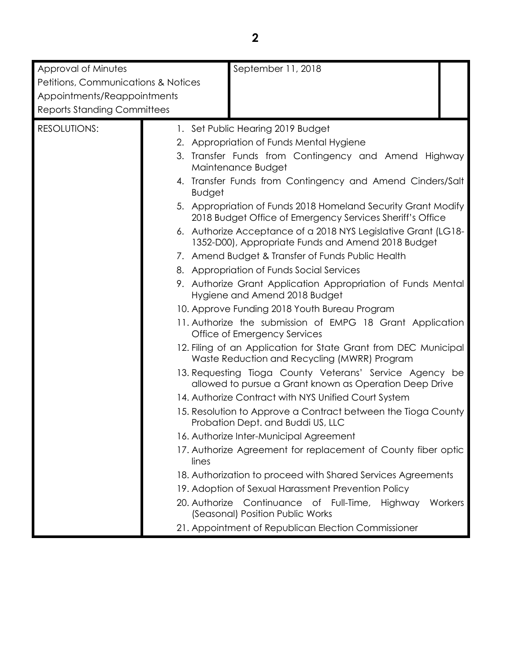| Approval of Minutes                                                                           | September 11, 2018                                                                                                         |
|-----------------------------------------------------------------------------------------------|----------------------------------------------------------------------------------------------------------------------------|
| Petitions, Communications & Notices                                                           |                                                                                                                            |
| Appointments/Reappointments                                                                   |                                                                                                                            |
| <b>Reports Standing Committees</b>                                                            |                                                                                                                            |
| <b>RESOLUTIONS:</b>                                                                           | 1. Set Public Hearing 2019 Budget                                                                                          |
|                                                                                               | 2. Appropriation of Funds Mental Hygiene                                                                                   |
|                                                                                               | 3. Transfer Funds from Contingency and Amend Highway<br>Maintenance Budget                                                 |
|                                                                                               | 4. Transfer Funds from Contingency and Amend Cinders/Salt<br><b>Budget</b>                                                 |
|                                                                                               | 5. Appropriation of Funds 2018 Homeland Security Grant Modify<br>2018 Budget Office of Emergency Services Sheriff's Office |
|                                                                                               | 6. Authorize Acceptance of a 2018 NYS Legislative Grant (LG18-<br>1352-D00), Appropriate Funds and Amend 2018 Budget       |
|                                                                                               | 7. Amend Budget & Transfer of Funds Public Health                                                                          |
|                                                                                               | 8. Appropriation of Funds Social Services                                                                                  |
| 9. Authorize Grant Application Appropriation of Funds Mental<br>Hygiene and Amend 2018 Budget |                                                                                                                            |
|                                                                                               | 10. Approve Funding 2018 Youth Bureau Program                                                                              |
|                                                                                               | 11. Authorize the submission of EMPG 18 Grant Application<br>Office of Emergency Services                                  |
|                                                                                               | 12. Filing of an Application for State Grant from DEC Municipal<br>Waste Reduction and Recycling (MWRR) Program            |
|                                                                                               | 13. Requesting Tioga County Veterans' Service Agency be<br>allowed to pursue a Grant known as Operation Deep Drive         |
|                                                                                               | 14. Authorize Contract with NYS Unified Court System                                                                       |
|                                                                                               | 15. Resolution to Approve a Contract between the Tioga County<br>Probation Dept. and Buddi US, LLC                         |
|                                                                                               | 16. Authorize Inter-Municipal Agreement                                                                                    |
|                                                                                               | 17. Authorize Agreement for replacement of County fiber optic<br>lines                                                     |
|                                                                                               | 18. Authorization to proceed with Shared Services Agreements                                                               |
|                                                                                               | 19. Adoption of Sexual Harassment Prevention Policy                                                                        |
|                                                                                               | 20. Authorize<br>Continuance<br>of Full-Time, Highway<br>Workers<br>(Seasonal) Position Public Works                       |
|                                                                                               | 21. Appointment of Republican Election Commissioner                                                                        |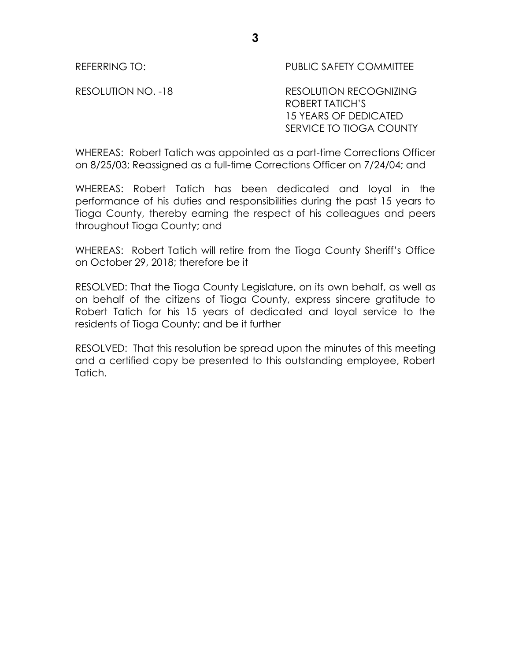REFERRING TO: PUBLIC SAFETY COMMITTEE

RESOLUTION NO. -18 RESOLUTION RECOGNIZING ROBERT TATICH'S 15 YEARS OF DEDICATED SERVICE TO TIOGA COUNTY

WHEREAS: Robert Tatich was appointed as a part-time Corrections Officer on 8/25/03; Reassigned as a full-time Corrections Officer on 7/24/04; and

WHEREAS: Robert Tatich has been dedicated and loyal in the performance of his duties and responsibilities during the past 15 years to Tioga County, thereby earning the respect of his colleagues and peers throughout Tioga County; and

WHEREAS: Robert Tatich will retire from the Tioga County Sheriff's Office on October 29, 2018; therefore be it

RESOLVED: That the Tioga County Legislature, on its own behalf, as well as on behalf of the citizens of Tioga County, express sincere gratitude to Robert Tatich for his 15 years of dedicated and loyal service to the residents of Tioga County; and be it further

RESOLVED: That this resolution be spread upon the minutes of this meeting and a certified copy be presented to this outstanding employee, Robert Tatich.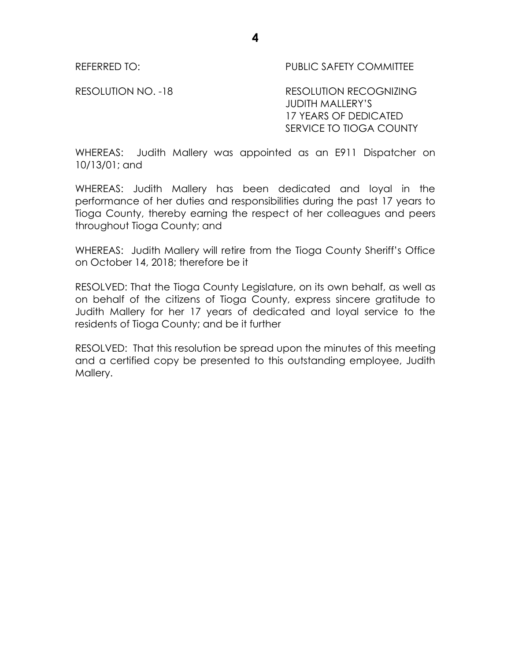REFERRED TO: THE PUBLIC SAFETY COMMITTEE

RESOLUTION NO. -18 RESOLUTION RECOGNIZING JUDITH MALLERY'S 17 YEARS OF DEDICATED SERVICE TO TIOGA COUNTY

WHEREAS: Judith Mallery was appointed as an E911 Dispatcher on 10/13/01; and

WHEREAS: Judith Mallery has been dedicated and loyal in the performance of her duties and responsibilities during the past 17 years to Tioga County, thereby earning the respect of her colleagues and peers throughout Tioga County; and

WHEREAS: Judith Mallery will retire from the Tioga County Sheriff's Office on October 14, 2018; therefore be it

RESOLVED: That the Tioga County Legislature, on its own behalf, as well as on behalf of the citizens of Tioga County, express sincere gratitude to Judith Mallery for her 17 years of dedicated and loyal service to the residents of Tioga County; and be it further

RESOLVED: That this resolution be spread upon the minutes of this meeting and a certified copy be presented to this outstanding employee, Judith Mallery.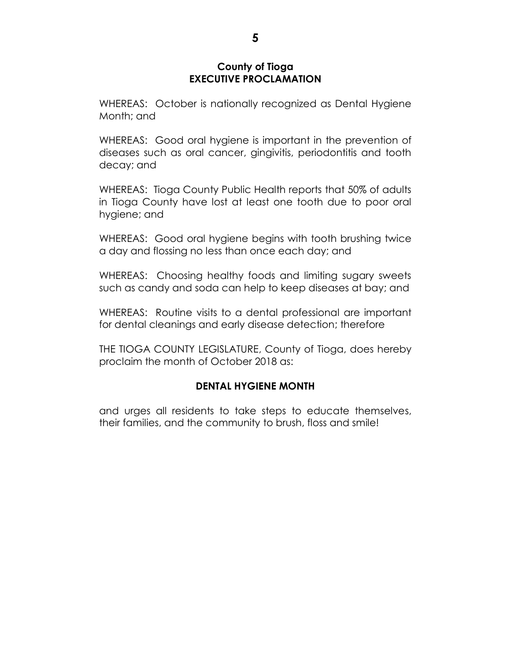## **County of Tioga EXECUTIVE PROCLAMATION**

WHEREAS: October is nationally recognized as Dental Hygiene Month; and

WHEREAS: Good oral hygiene is important in the prevention of diseases such as oral cancer, gingivitis, periodontitis and tooth decay; and

WHEREAS: Tioga County Public Health reports that 50% of adults in Tioga County have lost at least one tooth due to poor oral hygiene; and

WHEREAS: Good oral hygiene begins with tooth brushing twice a day and flossing no less than once each day; and

WHEREAS: Choosing healthy foods and limiting sugary sweets such as candy and soda can help to keep diseases at bay; and

WHEREAS: Routine visits to a dental professional are important for dental cleanings and early disease detection; therefore

THE TIOGA COUNTY LEGISLATURE, County of Tioga, does hereby proclaim the month of October 2018 as:

# **DENTAL HYGIENE MONTH**

and urges all residents to take steps to educate themselves, their families, and the community to brush, floss and smile!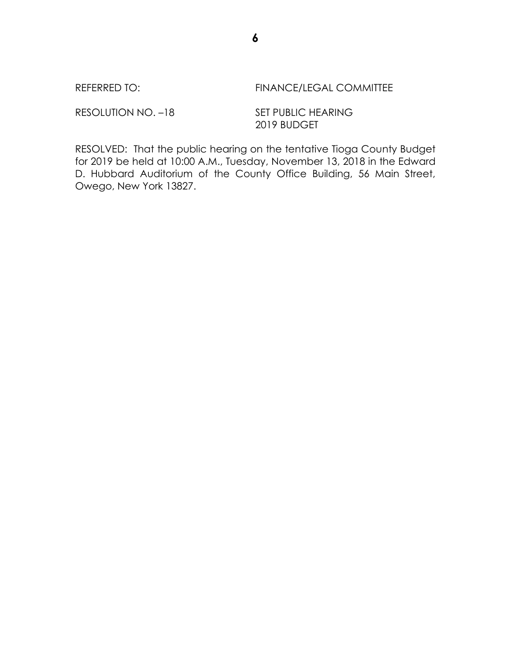REFERRED TO: FINANCE/LEGAL COMMITTEE

RESOLUTION NO. -18 SET PUBLIC HEARING

2019 BUDGET

RESOLVED: That the public hearing on the tentative Tioga County Budget for 2019 be held at 10:00 A.M., Tuesday, November 13, 2018 in the Edward D. Hubbard Auditorium of the County Office Building, 56 Main Street, Owego, New York 13827.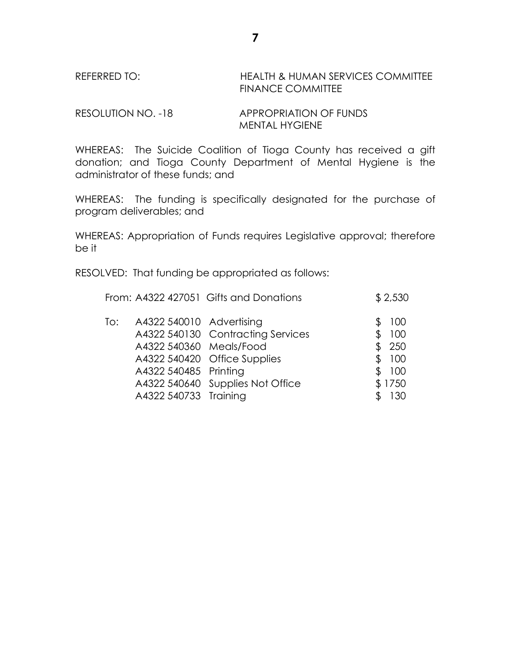## REFERRED TO: HEALTH & HUMAN SERVICES COMMITTEE FINANCE COMMITTEE

RESOLUTION NO. -18 APPROPRIATION OF FUNDS MENTAL HYGIENE

WHEREAS: The Suicide Coalition of Tioga County has received a gift donation; and Tioga County Department of Mental Hygiene is the administrator of these funds; and

WHEREAS: The funding is specifically designated for the purchase of program deliverables; and

WHEREAS: Appropriation of Funds requires Legislative approval; therefore be it

RESOLVED: That funding be appropriated as follows:

|     |                          | From: A4322 427051 Gifts and Donations | \$2,530   |
|-----|--------------------------|----------------------------------------|-----------|
| To: | A4322 540010 Advertising |                                        | 100       |
|     |                          | A4322 540130 Contracting Services      | 100       |
|     | A4322 540360 Meals/Food  |                                        | \$250     |
|     |                          | A4322 540420 Office Supplies           | \$<br>100 |
|     | A4322 540485 Printing    |                                        | \$100     |
|     |                          | A4322 540640 Supplies Not Office       | \$1750    |
|     | A4322 540733 Training    |                                        | 130       |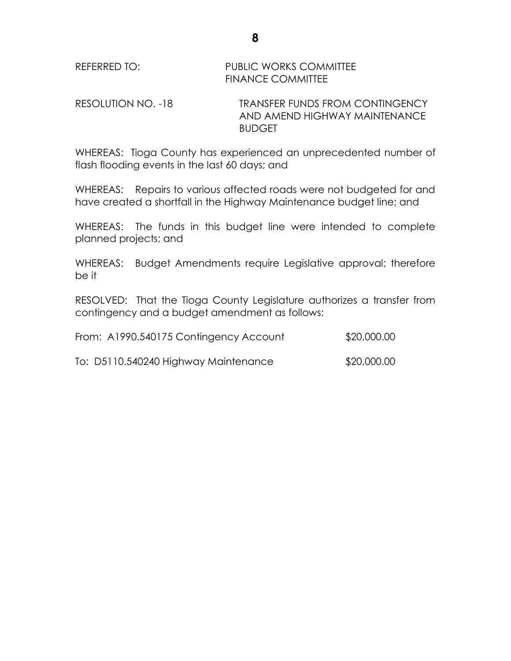RESOLUTION NO. -18 TRANSFER FUNDS FROM CONTINGENCY AND AMEND HIGHWAY MAINTENANCE BUDGET

WHEREAS: Tioga County has experienced an unprecedented number of flash flooding events in the last 60 days; and

WHEREAS: Repairs to various affected roads were not budgeted for and have created a shortfall in the Highway Maintenance budget line; and

WHEREAS: The funds in this budget line were intended to complete planned projects; and

WHEREAS: Budget Amendments require Legislative approval; therefore be it

RESOLVED: That the Tioga County Legislature authorizes a transfer from contingency and a budget amendment as follows:

| From: A1990.540175 Contingency Account | \$20,000.00 |
|----------------------------------------|-------------|
| To: D5110.540240 Highway Maintenance   | \$20,000.00 |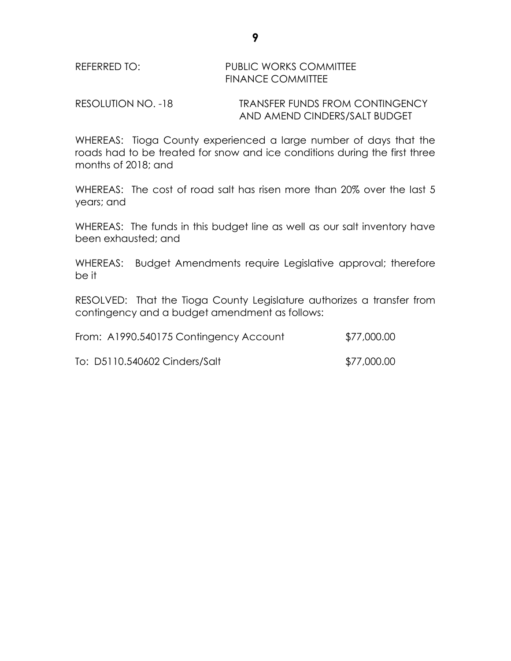## REFERRED TO: PUBLIC WORKS COMMITTEE FINANCE COMMITTEE

RESOLUTION NO. -18 TRANSFER FUNDS FROM CONTINGENCY AND AMEND CINDERS/SALT BUDGET

WHEREAS: Tioga County experienced a large number of days that the roads had to be treated for snow and ice conditions during the first three months of 2018; and

WHEREAS: The cost of road salt has risen more than 20% over the last 5 years; and

WHEREAS: The funds in this budget line as well as our salt inventory have been exhausted; and

WHEREAS: Budget Amendments require Legislative approval; therefore be it

RESOLVED: That the Tioga County Legislature authorizes a transfer from contingency and a budget amendment as follows:

| From: A1990.540175 Contingency Account | \$77,000.00 |
|----------------------------------------|-------------|
| To: D5110.540602 Cinders/Salt          | \$77,000.00 |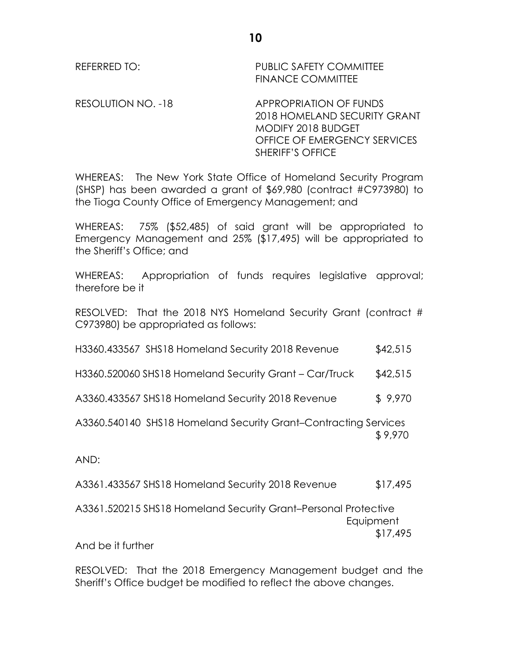REFERRED TO: PUBLIC SAFETY COMMITTEE FINANCE COMMITTEE

RESOLUTION NO. -18 APPROPRIATION OF FUNDS

2018 HOMELAND SECURITY GRANT MODIFY 2018 BUDGET OFFICE OF EMERGENCY SERVICES SHERIFF'S OFFICE

WHEREAS: The New York State Office of Homeland Security Program (SHSP) has been awarded a grant of \$69,980 (contract #C973980) to the Tioga County Office of Emergency Management; and

WHEREAS: 75% (\$52,485) of said grant will be appropriated to Emergency Management and 25% (\$17,495) will be appropriated to the Sheriff's Office; and

WHEREAS: Appropriation of funds requires legislative approval; therefore be it

RESOLVED: That the 2018 NYS Homeland Security Grant (contract # C973980) be appropriated as follows:

| H3360.433567 SHS18 Homeland Security 2018 Revenue | \$42,515 |
|---------------------------------------------------|----------|
|                                                   |          |

H3360.520060 SHS18 Homeland Security Grant – Car/Truck \$42,515

A3360.433567 SHS18 Homeland Security 2018 Revenue \$ 9,970

A3360.540140 SHS18 Homeland Security Grant–Contracting Services \$ 9,970

AND:

A3361.433567 SHS18 Homeland Security 2018 Revenue \$17,495

A3361.520215 SHS18 Homeland Security Grant–Personal Protective **Equipment** \$17,495

And be it further

RESOLVED: That the 2018 Emergency Management budget and the Sheriff's Office budget be modified to reflect the above changes.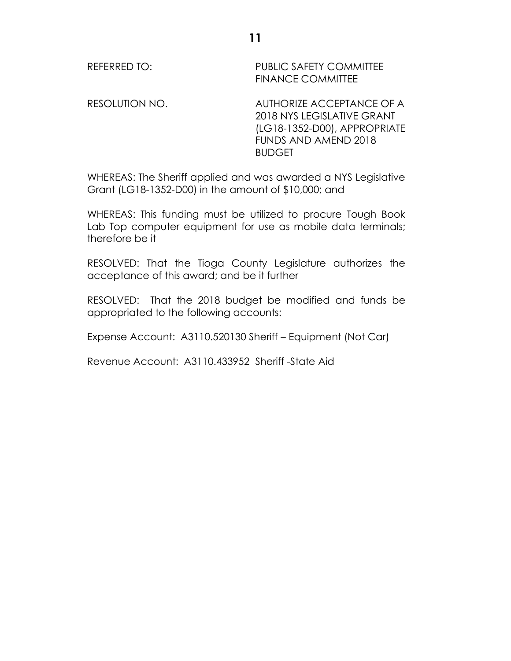REFERRED TO: PUBLIC SAFETY COMMITTEE FINANCE COMMITTEE

RESOLUTION NO. AUTHORIZE ACCEPTANCE OF A 2018 NYS LEGISLATIVE GRANT (LG18-1352-D00), APPROPRIATE FUNDS AND AMEND 2018 BUDGET

WHEREAS: The Sheriff applied and was awarded a NYS Legislative Grant (LG18-1352-D00) in the amount of \$10,000; and

WHEREAS: This funding must be utilized to procure Tough Book Lab Top computer equipment for use as mobile data terminals; therefore be it

RESOLVED: That the Tioga County Legislature authorizes the acceptance of this award; and be it further

RESOLVED: That the 2018 budget be modified and funds be appropriated to the following accounts:

Expense Account: A3110.520130 Sheriff – Equipment (Not Car)

Revenue Account: A3110.433952 Sheriff -State Aid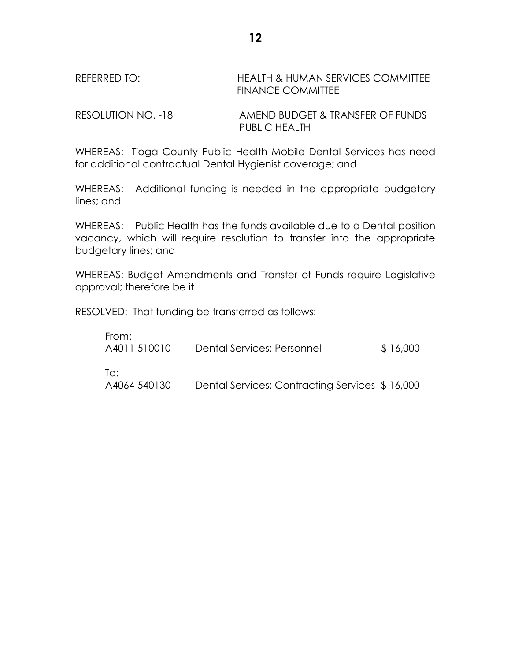# REFERRED TO: HEALTH & HUMAN SERVICES COMMITTEE FINANCE COMMITTEE

RESOLUTION NO. -18 AMEND BUDGET & TRANSFER OF FUNDS PUBLIC HEALTH

WHEREAS: Tioga County Public Health Mobile Dental Services has need for additional contractual Dental Hygienist coverage; and

WHEREAS: Additional funding is needed in the appropriate budgetary lines; and

WHEREAS: Public Health has the funds available due to a Dental position vacancy, which will require resolution to transfer into the appropriate budgetary lines; and

WHEREAS: Budget Amendments and Transfer of Funds require Legislative approval; therefore be it

RESOLVED: That funding be transferred as follows:

| From:<br>A4011 510010 | Dental Services: Personnel                     | \$16,000 |
|-----------------------|------------------------------------------------|----------|
| To:<br>A4064 540130   | Dental Services: Contracting Services \$16,000 |          |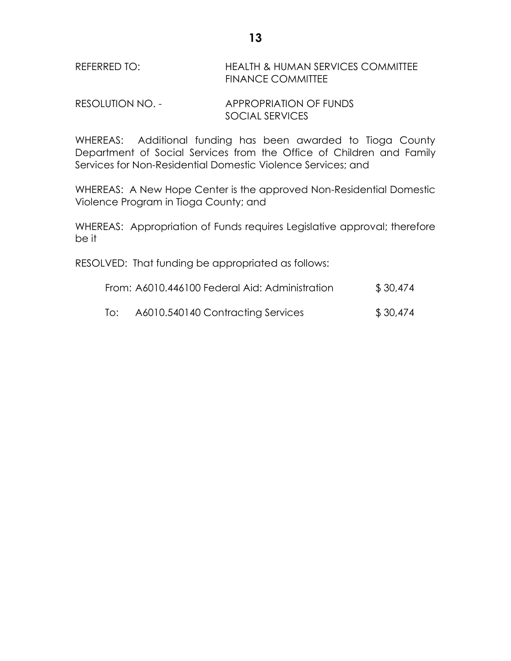# REFERRED TO: HEALTH & HUMAN SERVICES COMMITTEE FINANCE COMMITTEE

## RESOLUTION NO. - APPROPRIATION OF FUNDS SOCIAL SERVICES

WHEREAS: Additional funding has been awarded to Tioga County Department of Social Services from the Office of Children and Family Services for Non-Residential Domestic Violence Services; and

WHEREAS: A New Hope Center is the approved Non-Residential Domestic Violence Program in Tioga County; and

WHEREAS: Appropriation of Funds requires Legislative approval; therefore be it

RESOLVED: That funding be appropriated as follows:

| From: A6010.446100 Federal Aid: Administration | \$30,474 |  |
|------------------------------------------------|----------|--|
|                                                |          |  |

To: A6010.540140 Contracting Services \$ 30,474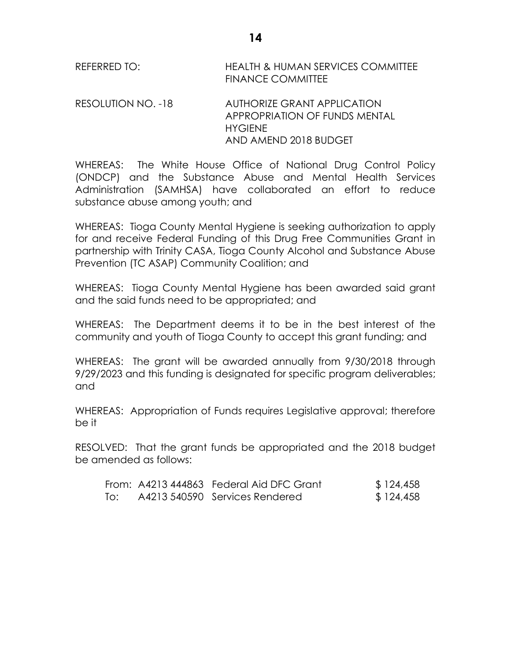REFERRED TO: HEALTH & HUMAN SERVICES COMMITTEE FINANCE COMMITTEE

RESOLUTION NO. -18 AUTHORIZE GRANT APPLICATION APPROPRIATION OF FUNDS MENTAL **HYGIENE** AND AMEND 2018 BUDGET

WHEREAS: The White House Office of National Drug Control Policy (ONDCP) and the Substance Abuse and Mental Health Services Administration (SAMHSA) have collaborated an effort to reduce substance abuse among youth; and

WHEREAS: Tioga County Mental Hygiene is seeking authorization to apply for and receive Federal Funding of this Drug Free Communities Grant in partnership with Trinity CASA, Tioga County Alcohol and Substance Abuse Prevention (TC ASAP) Community Coalition; and

WHEREAS: Tioga County Mental Hygiene has been awarded said grant and the said funds need to be appropriated; and

WHEREAS: The Department deems it to be in the best interest of the community and youth of Tioga County to accept this grant funding; and

WHEREAS: The grant will be awarded annually from 9/30/2018 through 9/29/2023 and this funding is designated for specific program deliverables; and

WHEREAS: Appropriation of Funds requires Legislative approval; therefore be it

RESOLVED: That the grant funds be appropriated and the 2018 budget be amended as follows:

|     | From: A4213 444863 Federal Aid DFC Grant | \$124,458 |
|-----|------------------------------------------|-----------|
| To: | A4213 540590 Services Rendered           | \$124,458 |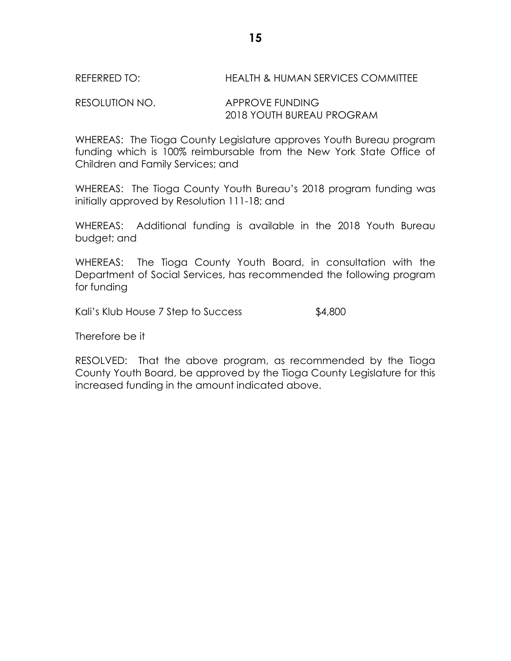RESOLUTION NO. APPROVE FUNDING 2018 YOUTH BUREAU PROGRAM

WHEREAS: The Tioga County Legislature approves Youth Bureau program funding which is 100% reimbursable from the New York State Office of Children and Family Services; and

WHEREAS: The Tioga County Youth Bureau's 2018 program funding was initially approved by Resolution 111-18; and

WHEREAS: Additional funding is available in the 2018 Youth Bureau budget; and

WHEREAS: The Tioga County Youth Board, in consultation with the Department of Social Services, has recommended the following program for funding

Kali's Klub House 7 Step to Success \$4,800

Therefore be it

RESOLVED: That the above program, as recommended by the Tioga County Youth Board, be approved by the Tioga County Legislature for this increased funding in the amount indicated above.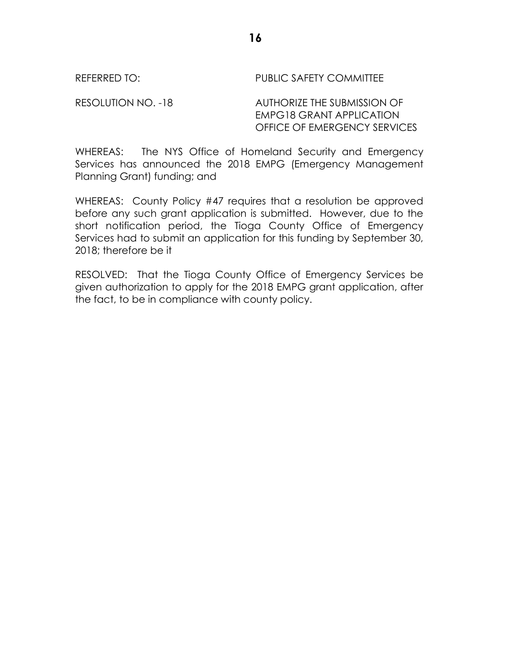REFERRED TO: The PUBLIC SAFETY COMMITTEE

RESOLUTION NO. -18 AUTHORIZE THE SUBMISSION OF EMPG18 GRANT APPLICATION OFFICE OF EMERGENCY SERVICES

WHEREAS: The NYS Office of Homeland Security and Emergency Services has announced the 2018 EMPG (Emergency Management Planning Grant) funding; and

WHEREAS: County Policy #47 requires that a resolution be approved before any such grant application is submitted. However, due to the short notification period, the Tioga County Office of Emergency Services had to submit an application for this funding by September 30, 2018; therefore be it

RESOLVED: That the Tioga County Office of Emergency Services be given authorization to apply for the 2018 EMPG grant application, after the fact, to be in compliance with county policy.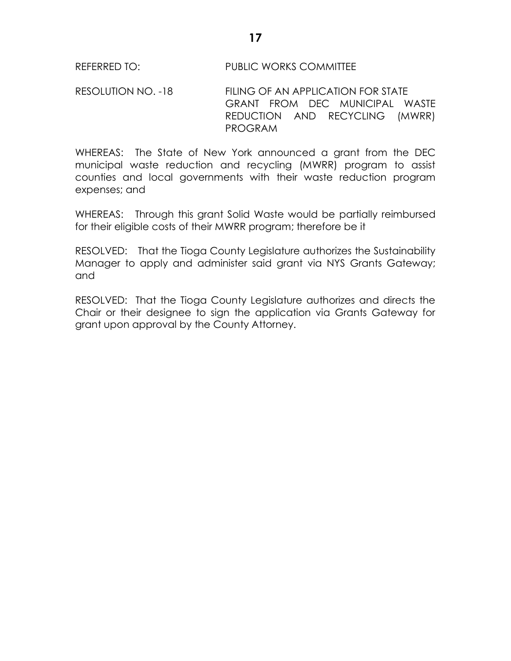RESOLUTION NO. -18 FILING OF AN APPLICATION FOR STATE GRANT FROM DEC MUNICIPAL WASTE REDUCTION AND RECYCLING (MWRR) PROGRAM

WHEREAS: The State of New York announced a grant from the DEC municipal waste reduction and recycling (MWRR) program to assist counties and local governments with their waste reduction program expenses; and

WHEREAS: Through this grant Solid Waste would be partially reimbursed for their eligible costs of their MWRR program; therefore be it

RESOLVED: That the Tioga County Legislature authorizes the Sustainability Manager to apply and administer said grant via NYS Grants Gateway; and

RESOLVED: That the Tioga County Legislature authorizes and directs the Chair or their designee to sign the application via Grants Gateway for grant upon approval by the County Attorney.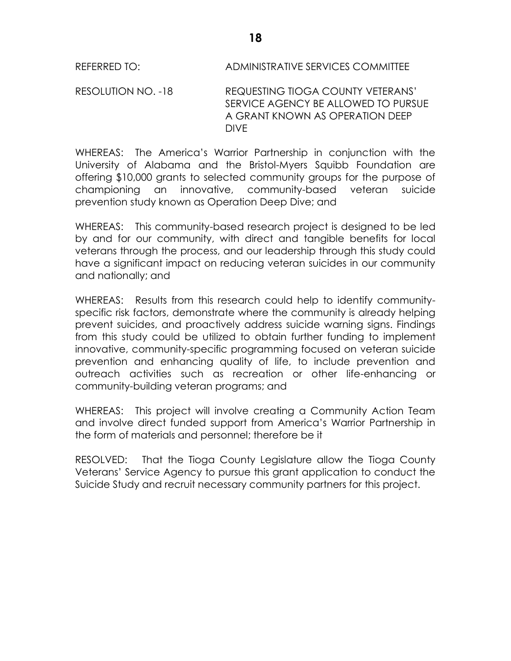REFERRED TO: ADMINISTRATIVE SERVICES COMMITTEE

RESOLUTION NO. -18 REQUESTING TIOGA COUNTY VETERANS' SERVICE AGENCY BE ALLOWED TO PURSUE A GRANT KNOWN AS OPERATION DEEP DIVE

WHEREAS: The America's Warrior Partnership in conjunction with the University of Alabama and the Bristol-Myers Squibb Foundation are offering \$10,000 grants to selected community groups for the purpose of championing an innovative, community-based veteran suicide prevention study known as Operation Deep Dive; and

WHEREAS: This community-based research project is designed to be led by and for our community, with direct and tangible benefits for local veterans through the process, and our leadership through this study could have a significant impact on reducing veteran suicides in our community and nationally; and

WHEREAS: Results from this research could help to identify communityspecific risk factors, demonstrate where the community is already helping prevent suicides, and proactively address suicide warning signs. Findings from this study could be utilized to obtain further funding to implement innovative, community-specific programming focused on veteran suicide prevention and enhancing quality of life, to include prevention and outreach activities such as recreation or other life-enhancing or community-building veteran programs; and

WHEREAS: This project will involve creating a Community Action Team and involve direct funded support from America's Warrior Partnership in the form of materials and personnel; therefore be it

RESOLVED: That the Tioga County Legislature allow the Tioga County Veterans' Service Agency to pursue this grant application to conduct the Suicide Study and recruit necessary community partners for this project.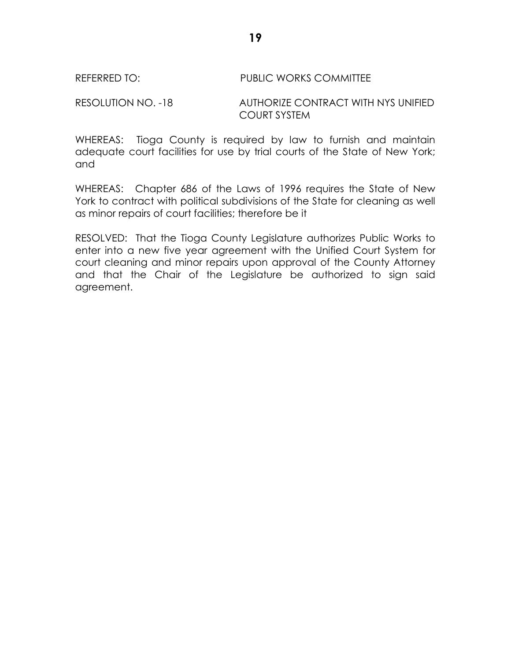#### REFERRED TO: PUBLIC WORKS COMMITTEE

RESOLUTION NO. -18 AUTHORIZE CONTRACT WITH NYS UNIFIED COURT SYSTEM

WHEREAS: Tioga County is required by law to furnish and maintain adequate court facilities for use by trial courts of the State of New York; and

WHEREAS: Chapter 686 of the Laws of 1996 requires the State of New York to contract with political subdivisions of the State for cleaning as well as minor repairs of court facilities; therefore be it

RESOLVED: That the Tioga County Legislature authorizes Public Works to enter into a new five year agreement with the Unified Court System for court cleaning and minor repairs upon approval of the County Attorney and that the Chair of the Legislature be authorized to sign said agreement.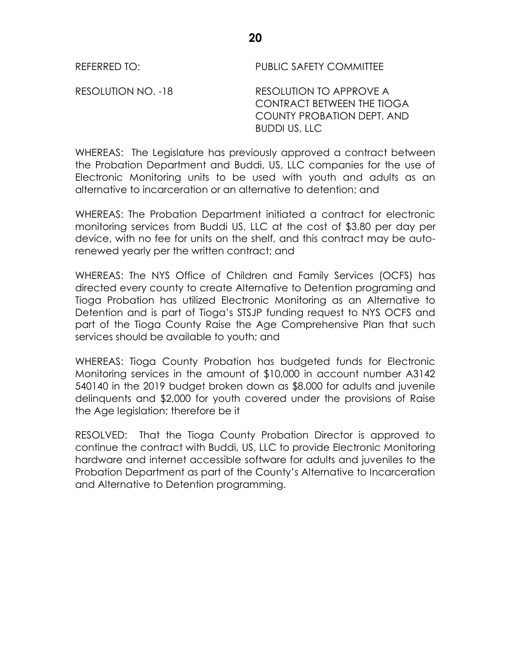REFERRED TO: PUBLIC SAFETY COMMITTEE

RESOLUTION NO. -18 RESOLUTION TO APPROVE A CONTRACT BETWEEN THE TIOGA COUNTY PROBATION DEPT. AND BUDDI US, LLC

WHEREAS: The Legislature has previously approved a contract between the Probation Department and Buddi, US, LLC companies for the use of Electronic Monitoring units to be used with youth and adults as an alternative to incarceration or an alternative to detention; and

WHEREAS: The Probation Department initiated a contract for electronic monitoring services from Buddi US, LLC at the cost of \$3.80 per day per device, with no fee for units on the shelf, and this contract may be autorenewed yearly per the written contract; and

WHEREAS: The NYS Office of Children and Family Services (OCFS) has directed every county to create Alternative to Detention programing and Tioga Probation has utilized Electronic Monitoring as an Alternative to Detention and is part of Tioga's STSJP funding request to NYS OCFS and part of the Tioga County Raise the Age Comprehensive Plan that such services should be available to youth; and

WHEREAS: Tioga County Probation has budgeted funds for Electronic Monitoring services in the amount of \$10,000 in account number A3142 540140 in the 2019 budget broken down as \$8,000 for adults and juvenile delinquents and \$2,000 for youth covered under the provisions of Raise the Age legislation; therefore be it

RESOLVED: That the Tioga County Probation Director is approved to continue the contract with Buddi, US, LLC to provide Electronic Monitoring hardware and internet accessible software for adults and juveniles to the Probation Department as part of the County's Alternative to Incarceration and Alternative to Detention programming.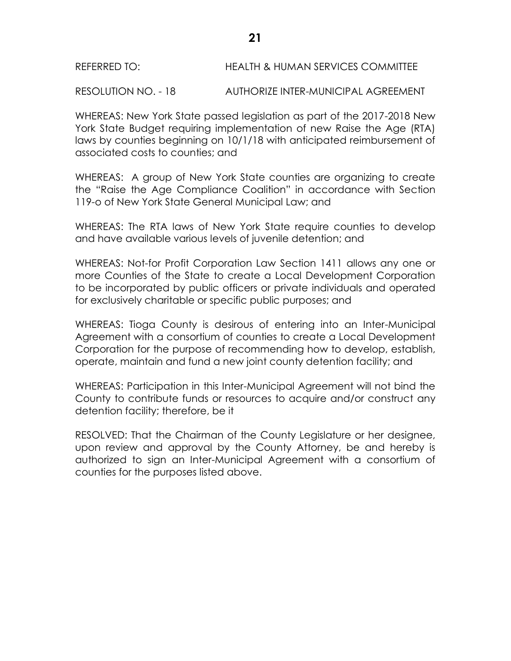## REFERRED TO: HEALTH & HUMAN SERVICES COMMITTEE

RESOLUTION NO. - 18 AUTHORIZE INTER-MUNICIPAL AGREEMENT

WHEREAS: New York State passed legislation as part of the 2017-2018 New York State Budget requiring implementation of new Raise the Age (RTA) laws by counties beginning on 10/1/18 with anticipated reimbursement of associated costs to counties; and

WHEREAS: A group of New York State counties are organizing to create the "Raise the Age Compliance Coalition" in accordance with Section 119-o of New York State General Municipal Law; and

WHEREAS: The RTA laws of New York State require counties to develop and have available various levels of juvenile detention; and

WHEREAS: Not-for Profit Corporation Law Section 1411 allows any one or more Counties of the State to create a Local Development Corporation to be incorporated by public officers or private individuals and operated for exclusively charitable or specific public purposes; and

WHEREAS: Tioga County is desirous of entering into an Inter-Municipal Agreement with a consortium of counties to create a Local Development Corporation for the purpose of recommending how to develop, establish, operate, maintain and fund a new joint county detention facility; and

WHEREAS: Participation in this Inter-Municipal Agreement will not bind the County to contribute funds or resources to acquire and/or construct any detention facility; therefore, be it

RESOLVED: That the Chairman of the County Legislature or her designee, upon review and approval by the County Attorney, be and hereby is authorized to sign an Inter-Municipal Agreement with a consortium of counties for the purposes listed above.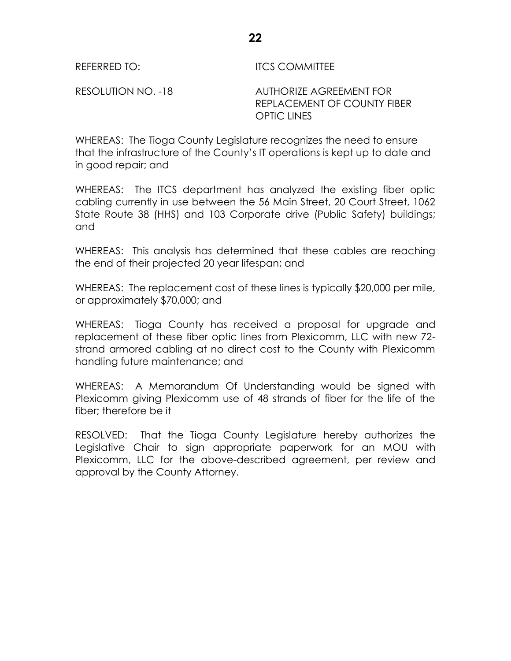REFERRED TO: ITCS COMMITTEE

RESOLUTION NO. -18 AUTHORIZE AGREEMENT FOR REPLACEMENT OF COUNTY FIBER OPTIC LINES

WHEREAS: The Tioga County Legislature recognizes the need to ensure that the infrastructure of the County's IT operations is kept up to date and in good repair; and

WHEREAS: The ITCS department has analyzed the existing fiber optic cabling currently in use between the 56 Main Street, 20 Court Street, 1062 State Route 38 (HHS) and 103 Corporate drive (Public Safety) buildings; and

WHEREAS: This analysis has determined that these cables are reaching the end of their projected 20 year lifespan; and

WHEREAS: The replacement cost of these lines is typically \$20,000 per mile, or approximately \$70,000; and

WHEREAS: Tioga County has received a proposal for upgrade and replacement of these fiber optic lines from Plexicomm, LLC with new 72 strand armored cabling at no direct cost to the County with Plexicomm handling future maintenance; and

WHEREAS: A Memorandum Of Understanding would be signed with Plexicomm giving Plexicomm use of 48 strands of fiber for the life of the fiber; therefore be it

RESOLVED: That the Tioga County Legislature hereby authorizes the Legislative Chair to sign appropriate paperwork for an MOU with Plexicomm, LLC for the above-described agreement, per review and approval by the County Attorney.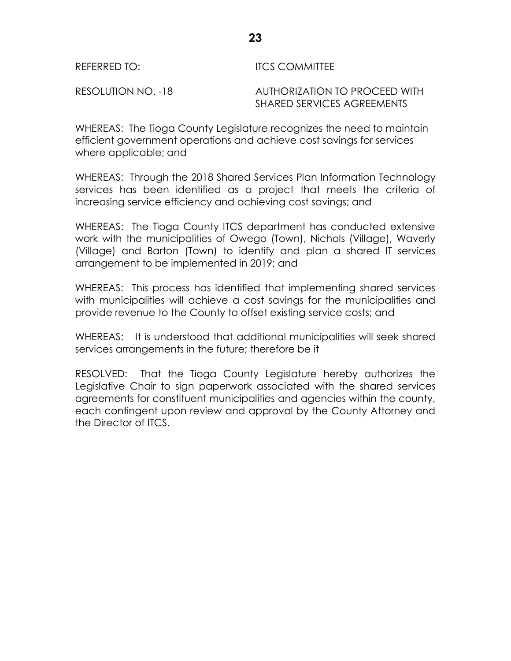RESOLUTION NO. -18 AUTHORIZATION TO PROCEED WITH SHARED SERVICES AGREEMENTS

WHEREAS: The Tioga County Legislature recognizes the need to maintain efficient government operations and achieve cost savings for services where applicable; and

WHEREAS: Through the 2018 Shared Services Plan Information Technology services has been identified as a project that meets the criteria of increasing service efficiency and achieving cost savings; and

WHEREAS: The Tioga County ITCS department has conducted extensive work with the municipalities of Owego (Town), Nichols (Village), Waverly (Village) and Barton (Town) to identify and plan a shared IT services arrangement to be implemented in 2019; and

WHEREAS: This process has identified that implementing shared services with municipalities will achieve a cost savings for the municipalities and provide revenue to the County to offset existing service costs; and

WHEREAS: It is understood that additional municipalities will seek shared services arrangements in the future; therefore be it

RESOLVED: That the Tioga County Legislature hereby authorizes the Legislative Chair to sign paperwork associated with the shared services agreements for constituent municipalities and agencies within the county, each contingent upon review and approval by the County Attorney and the Director of ITCS.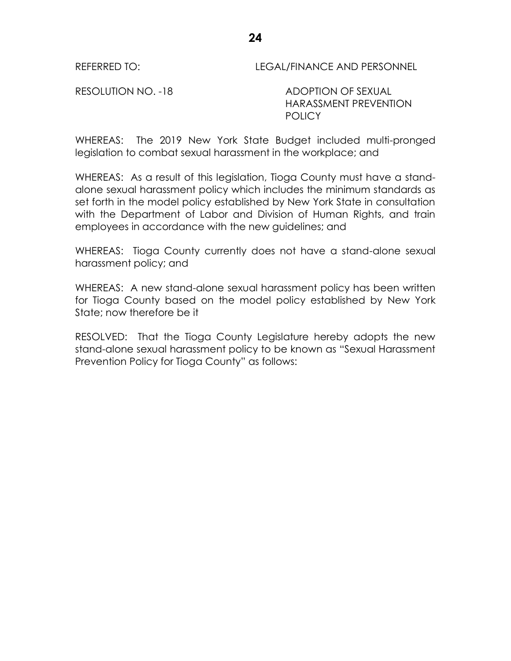REFERRED TO: LEGAL/FINANCE AND PERSONNEL

RESOLUTION NO. -18 ADOPTION OF SEXUAL HARASSMENT PREVENTION **POLICY** 

WHEREAS: The 2019 New York State Budget included multi-pronged legislation to combat sexual harassment in the workplace; and

WHEREAS: As a result of this legislation, Tioga County must have a standalone sexual harassment policy which includes the minimum standards as set forth in the model policy established by New York State in consultation with the Department of Labor and Division of Human Rights, and train employees in accordance with the new guidelines; and

WHEREAS: Tioga County currently does not have a stand-alone sexual harassment policy; and

WHEREAS: A new stand-alone sexual harassment policy has been written for Tioga County based on the model policy established by New York State; now therefore be it

RESOLVED: That the Tioga County Legislature hereby adopts the new stand-alone sexual harassment policy to be known as "Sexual Harassment Prevention Policy for Tioga County" as follows: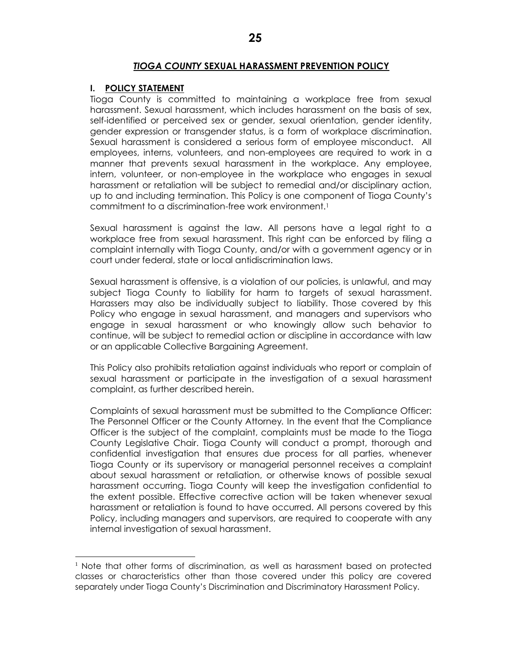#### *TIOGA COUNTY* **SEXUAL HARASSMENT PREVENTION POLICY**

#### **I. POLICY STATEMENT**

 $\overline{a}$ 

Tioga County is committed to maintaining a workplace free from sexual harassment. Sexual harassment, which includes harassment on the basis of sex, self-identified or perceived sex or gender, sexual orientation, gender identity, gender expression or transgender status, is a form of workplace discrimination. Sexual harassment is considered a serious form of employee misconduct. All employees, interns, volunteers, and non-employees are required to work in a manner that prevents sexual harassment in the workplace. Any employee, intern, volunteer, or non-employee in the workplace who engages in sexual harassment or retaliation will be subject to remedial and/or disciplinary action, up to and including termination. This Policy is one component of Tioga County's commitment to a discrimination-free work environment.<sup>1</sup>

Sexual harassment is against the law. All persons have a legal right to a workplace free from sexual harassment. This right can be enforced by filing a complaint internally with Tioga County, and/or with a government agency or in court under federal, state or local antidiscrimination laws.

Sexual harassment is offensive, is a violation of our policies, is unlawful, and may subject Tioga County to liability for harm to targets of sexual harassment. Harassers may also be individually subject to liability. Those covered by this Policy who engage in sexual harassment, and managers and supervisors who engage in sexual harassment or who knowingly allow such behavior to continue, will be subject to remedial action or discipline in accordance with law or an applicable Collective Bargaining Agreement.

This Policy also prohibits retaliation against individuals who report or complain of sexual harassment or participate in the investigation of a sexual harassment complaint, as further described herein.

Complaints of sexual harassment must be submitted to the Compliance Officer: The Personnel Officer or the County Attorney*.* In the event that the Compliance Officer is the subject of the complaint, complaints must be made to the Tioga County Legislative Chair. Tioga County will conduct a prompt, thorough and confidential investigation that ensures due process for all parties, whenever Tioga County or its supervisory or managerial personnel receives a complaint about sexual harassment or retaliation, or otherwise knows of possible sexual harassment occurring. Tioga County will keep the investigation confidential to the extent possible. Effective corrective action will be taken whenever sexual harassment or retaliation is found to have occurred. All persons covered by this Policy, including managers and supervisors, are required to cooperate with any internal investigation of sexual harassment.

<sup>&</sup>lt;sup>1</sup> Note that other forms of discrimination, as well as harassment based on protected classes or characteristics other than those covered under this policy are covered separately under Tioga County's Discrimination and Discriminatory Harassment Policy.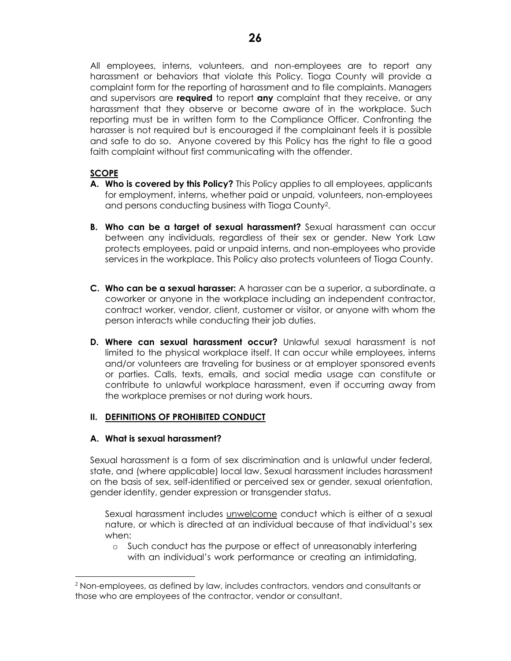All employees, interns, volunteers, and non-employees are to report any harassment or behaviors that violate this Policy. Tioga County will provide a complaint form for the reporting of harassment and to file complaints. Managers and supervisors are **required** to report **any** complaint that they receive, or any harassment that they observe or become aware of in the workplace. Such reporting must be in written form to the Compliance Officer. Confronting the harasser is not required but is encouraged if the complainant feels it is possible and safe to do so. Anyone covered by this Policy has the right to file a good faith complaint without first communicating with the offender.

## **SCOPE**

- **A. Who is covered by this Policy?** This Policy applies to all employees, applicants for employment, interns, whether paid or unpaid, volunteers, non-employees and persons conducting business with Tioga County2.
- **B. Who can be a target of sexual harassment?** Sexual harassment can occur between any individuals, regardless of their sex or gender. New York Law protects employees, paid or unpaid interns, and non-employees who provide services in the workplace. This Policy also protects volunteers of Tioga County.
- **C. Who can be a sexual harasser:** A harasser can be a superior, a subordinate, a coworker or anyone in the workplace including an independent contractor, contract worker, vendor, client, customer or visitor, or anyone with whom the person interacts while conducting their job duties.
- **D. Where can sexual harassment occur?** Unlawful sexual harassment is not limited to the physical workplace itself. It can occur while employees, interns and/or volunteers are traveling for business or at employer sponsored events or parties. Calls, texts, emails, and social media usage can constitute or contribute to unlawful workplace harassment, even if occurring away from the workplace premises or not during work hours.

## **II. DEFINITIONS OF PROHIBITED CONDUCT**

### **A. What is sexual harassment?**

l

Sexual harassment is a form of sex discrimination and is unlawful under federal, state, and (where applicable) local law. Sexual harassment includes harassment on the basis of sex, self-identified or perceived sex or gender, sexual orientation, gender identity, gender expression or transgender status.

Sexual harassment includes unwelcome conduct which is either of a sexual nature, or which is directed at an individual because of that individual's sex when:

o Such conduct has the purpose or effect of unreasonably interfering with an individual's work performance or creating an intimidating,

<sup>2</sup> Non-employees, as defined by law, includes contractors, vendors and consultants or those who are employees of the contractor, vendor or consultant.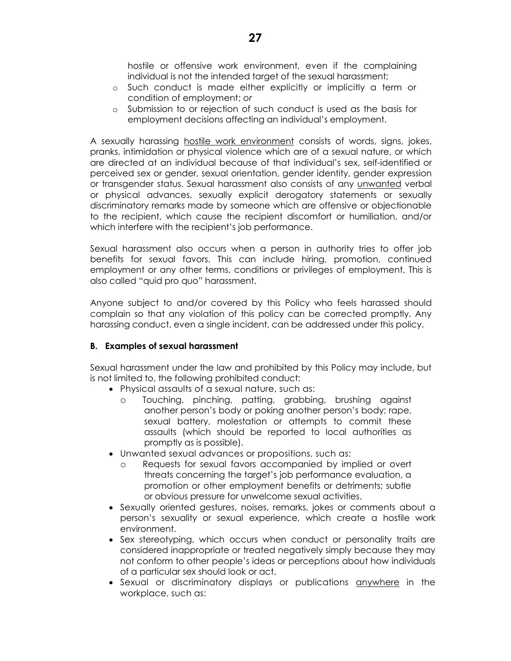hostile or offensive work environment, even if the complaining individual is not the intended target of the sexual harassment;

- o Such conduct is made either explicitly or implicitly a term or condition of employment; *or*
- o Submission to or rejection of such conduct is used as the basis for employment decisions affecting an individual's employment.

A sexually harassing hostile work environment consists of words, signs, jokes, pranks, intimidation or physical violence which are of a sexual nature, or which are directed at an individual because of that individual's sex, self-identified or perceived sex or gender, sexual orientation, gender identity, gender expression or transgender status. Sexual harassment also consists of any unwanted verbal or physical advances, sexually explicit derogatory statements or sexually discriminatory remarks made by someone which are offensive or objectionable to the recipient, which cause the recipient discomfort or humiliation, and/or which interfere with the recipient's job performance.

Sexual harassment also occurs when a person in authority tries to offer job benefits for sexual favors. This can include hiring, promotion, continued employment or any other terms, conditions or privileges of employment. This is also called "quid pro quo" harassment.

Anyone subject to and/or covered by this Policy who feels harassed should complain so that any violation of this policy can be corrected promptly. Any harassing conduct, even a single incident, can be addressed under this policy.

#### **B. Examples of sexual harassment**

Sexual harassment under the law and prohibited by this Policy may include, but is not limited to, the following prohibited conduct:

- Physical assaults of a sexual nature, such as:
	- o Touching, pinching, patting, grabbing, brushing against another person's body or poking another person's body; rape, sexual battery, molestation or attempts to commit these assaults (which should be reported to local authorities as promptly as is possible).
- Unwanted sexual advances or propositions, such as:
	- Requests for sexual favors accompanied by implied or overt threats concerning the target's job performance evaluation, a promotion or other employment benefits or detriments; subtle or obvious pressure for unwelcome sexual activities.
- Sexually oriented gestures, noises, remarks, jokes or comments about a person's sexuality or sexual experience, which create a hostile work environment.
- Sex stereotyping, which occurs when conduct or personality traits are considered inappropriate or treated negatively simply because they may not conform to other people's ideas or perceptions about how individuals of a particular sex should look or act.
- Sexual or discriminatory displays or publications anywhere in the workplace, such as: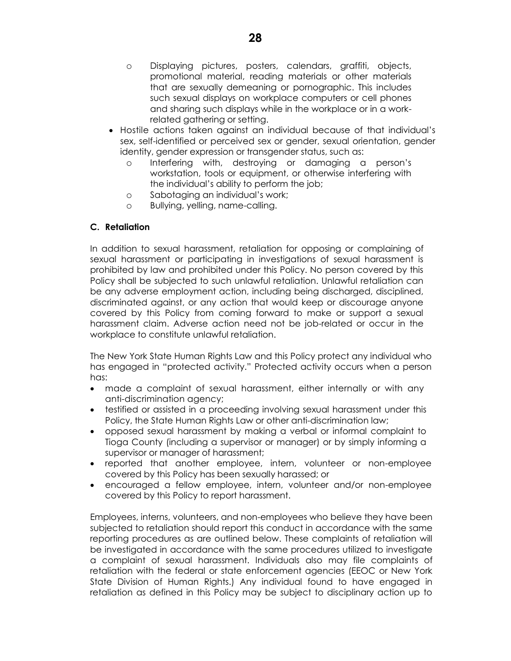- o Displaying pictures, posters, calendars, graffiti, objects, promotional material, reading materials or other materials that are sexually demeaning or pornographic. This includes such sexual displays on workplace computers or cell phones and sharing such displays while in the workplace or in a workrelated gathering or setting.
- Hostile actions taken against an individual because of that individual's sex, self-identified or perceived sex or gender, sexual orientation, gender identity, gender expression or transgender status, such as:
	- o Interfering with, destroying or damaging a person's workstation, tools or equipment, or otherwise interfering with the individual's ability to perform the job;
	- o Sabotaging an individual's work;
	- o Bullying, yelling, name-calling.

## **C. Retaliation**

In addition to sexual harassment, retaliation for opposing or complaining of sexual harassment or participating in investigations of sexual harassment is prohibited by law and prohibited under this Policy. No person covered by this Policy shall be subjected to such unlawful retaliation. Unlawful retaliation can be any adverse employment action, including being discharged, disciplined, discriminated against, or any action that would keep or discourage anyone covered by this Policy from coming forward to make or support a sexual harassment claim. Adverse action need not be job-related or occur in the workplace to constitute unlawful retaliation.

The New York State Human Rights Law and this Policy protect any individual who has engaged in "protected activity." Protected activity occurs when a person has:

- made a complaint of sexual harassment, either internally or with any anti-discrimination agency;
- testified or assisted in a proceeding involving sexual harassment under this Policy, the State Human Rights Law or other anti-discrimination law;
- opposed sexual harassment by making a verbal or informal complaint to Tioga County (including a supervisor or manager) or by simply informing a supervisor or manager of harassment;
- reported that another employee, intern, volunteer or non-employee covered by this Policy has been sexually harassed; or
- encouraged a fellow employee, intern, volunteer and/or non-employee covered by this Policy to report harassment.

Employees, interns, volunteers, and non-employees who believe they have been subjected to retaliation should report this conduct in accordance with the same reporting procedures as are outlined below. These complaints of retaliation will be investigated in accordance with the same procedures utilized to investigate a complaint of sexual harassment. Individuals also may file complaints of retaliation with the federal or state enforcement agencies (EEOC or New York State Division of Human Rights.) Any individual found to have engaged in retaliation as defined in this Policy may be subject to disciplinary action up to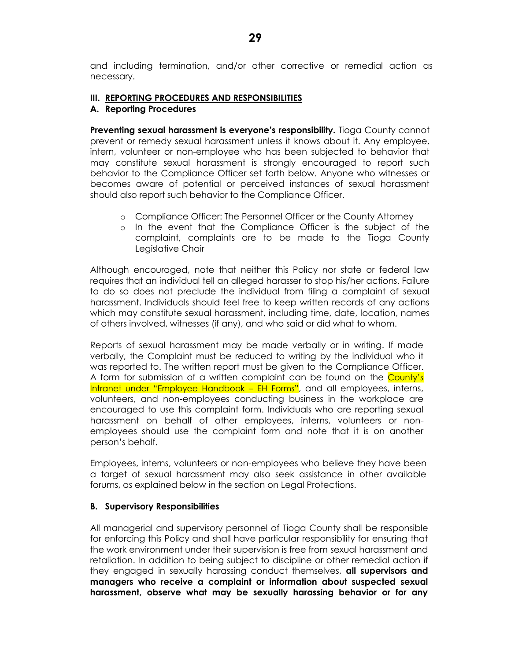and including termination, and/or other corrective or remedial action as necessary.

#### **III. REPORTING PROCEDURES AND RESPONSIBILITIES**

#### **A. Reporting Procedures**

**Preventing sexual harassment is everyone's responsibility.** Tioga County cannot prevent or remedy sexual harassment unless it knows about it. Any employee, intern, volunteer or non-employee who has been subjected to behavior that may constitute sexual harassment is strongly encouraged to report such behavior to the Compliance Officer set forth below. Anyone who witnesses or becomes aware of potential or perceived instances of sexual harassment should also report such behavior to the Compliance Officer.

- o Compliance Officer: The Personnel Officer or the County Attorney
- o In the event that the Compliance Officer is the subject of the complaint, complaints are to be made to the Tioga County Legislative Chair

Although encouraged, note that neither this Policy nor state or federal law requires that an individual tell an alleged harasser to stop his/her actions. Failure to do so does not preclude the individual from filing a complaint of sexual harassment. Individuals should feel free to keep written records of any actions which may constitute sexual harassment, including time, date, location, names of others involved, witnesses (if any), and who said or did what to whom.

Reports of sexual harassment may be made verbally or in writing. If made verbally, the Complaint must be reduced to writing by the individual who it was reported to. The written report must be given to the Compliance Officer. A form for submission of a written complaint can be found on the County's Intranet under "Employee Handbook – EH Forms", and all employees, interns, volunteers, and non-employees conducting business in the workplace are encouraged to use this complaint form. Individuals who are reporting sexual harassment on behalf of other employees, interns, volunteers or nonemployees should use the complaint form and note that it is on another person's behalf.

Employees, interns, volunteers or non-employees who believe they have been a target of sexual harassment may also seek assistance in other available forums, as explained below in the section on Legal Protections.

#### **B. Supervisory Responsibilities**

All managerial and supervisory personnel of Tioga County shall be responsible for enforcing this Policy and shall have particular responsibility for ensuring that the work environment under their supervision is free from sexual harassment and retaliation. In addition to being subject to discipline or other remedial action if they engaged in sexually harassing conduct themselves, **all supervisors and managers who receive a complaint or information about suspected sexual harassment, observe what may be sexually harassing behavior or for any**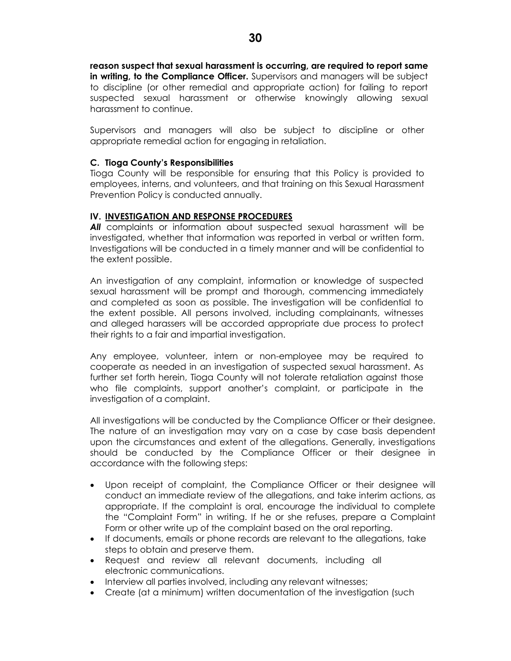**reason suspect that sexual harassment is occurring, are required to report same in writing, to the Compliance Officer.** Supervisors and managers will be subject to discipline (or other remedial and appropriate action) for failing to report suspected sexual harassment or otherwise knowingly allowing sexual harassment to continue.

Supervisors and managers will also be subject to discipline or other appropriate remedial action for engaging in retaliation.

#### **C. Tioga County's Responsibilities**

Tioga County will be responsible for ensuring that this Policy is provided to employees, interns, and volunteers, and that training on this Sexual Harassment Prevention Policy is conducted annually.

#### **IV. INVESTIGATION AND RESPONSE PROCEDURES**

All complaints or information about suspected sexual harassment will be investigated, whether that information was reported in verbal or written form. Investigations will be conducted in a timely manner and will be confidential to the extent possible.

An investigation of any complaint, information or knowledge of suspected sexual harassment will be prompt and thorough, commencing immediately and completed as soon as possible. The investigation will be confidential to the extent possible. All persons involved, including complainants, witnesses and alleged harassers will be accorded appropriate due process to protect their rights to a fair and impartial investigation.

Any employee, volunteer, intern or non-employee may be required to cooperate as needed in an investigation of suspected sexual harassment. As further set forth herein, Tioga County will not tolerate retaliation against those who file complaints, support another's complaint, or participate in the investigation of a complaint.

All investigations will be conducted by the Compliance Officer or their designee. The nature of an investigation may vary on a case by case basis dependent upon the circumstances and extent of the allegations. Generally, investigations should be conducted by the Compliance Officer or their designee in accordance with the following steps:

- Upon receipt of complaint, the Compliance Officer or their designee will conduct an immediate review of the allegations, and take interim actions, as appropriate. If the complaint is oral, encourage the individual to complete the "Complaint Form" in writing. If he or she refuses, prepare a Complaint Form or other write up of the complaint based on the oral reporting.
- If documents, emails or phone records are relevant to the allegations, take steps to obtain and preserve them.
- Request and review all relevant documents, including all electronic communications.
- Interview all parties involved, including any relevant witnesses;
- Create (at a minimum) written documentation of the investigation (such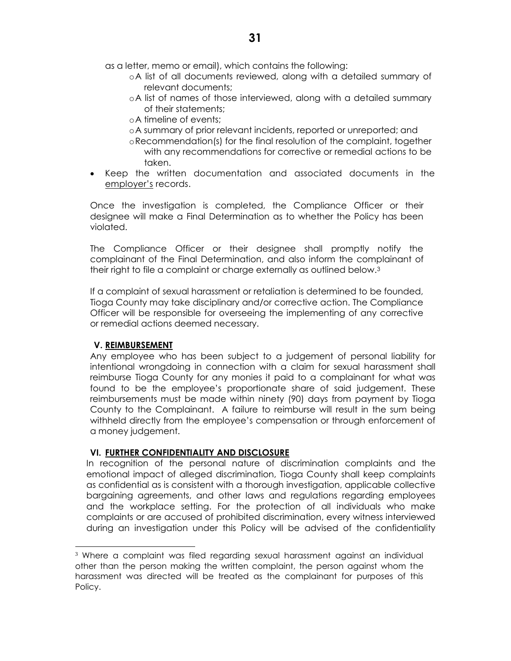as a letter, memo or email), which contains the following:

- oA list of all documents reviewed, along with a detailed summary of relevant documents;
- oA list of names of those interviewed, along with a detailed summary of their statements;
- oA timeline of events;
- oA summary of prior relevant incidents, reported or unreported; and
- oRecommendation(s) for the final resolution of the complaint, together with any recommendations for corrective or remedial actions to be taken.
- Keep the written documentation and associated documents in the employer's records.

Once the investigation is completed, the Compliance Officer or their designee will make a Final Determination as to whether the Policy has been violated.

The Compliance Officer or their designee shall promptly notify the complainant of the Final Determination, and also inform the complainant of their right to file a complaint or charge externally as outlined below.<sup>3</sup>

If a complaint of sexual harassment or retaliation is determined to be founded, Tioga County may take disciplinary and/or corrective action. The Compliance Officer will be responsible for overseeing the implementing of any corrective or remedial actions deemed necessary.

### **V. REIMBURSEMENT**

 $\overline{a}$ 

Any employee who has been subject to a judgement of personal liability for intentional wrongdoing in connection with a claim for sexual harassment shall reimburse Tioga County for any monies it paid to a complainant for what was found to be the employee's proportionate share of said judgement. These reimbursements must be made within ninety (90) days from payment by Tioga County to the Complainant. A failure to reimburse will result in the sum being withheld directly from the employee's compensation or through enforcement of a money judgement.

### **VI. FURTHER CONFIDENTIALITY AND DISCLOSURE**

In recognition of the personal nature of discrimination complaints and the emotional impact of alleged discrimination, Tioga County shall keep complaints as confidential as is consistent with a thorough investigation, applicable collective bargaining agreements, and other laws and regulations regarding employees and the workplace setting. For the protection of all individuals who make complaints or are accused of prohibited discrimination, every witness interviewed during an investigation under this Policy will be advised of the confidentiality

<sup>3</sup> Where a complaint was filed regarding sexual harassment against an individual other than the person making the written complaint, the person against whom the harassment was directed will be treated as the complainant for purposes of this Policy.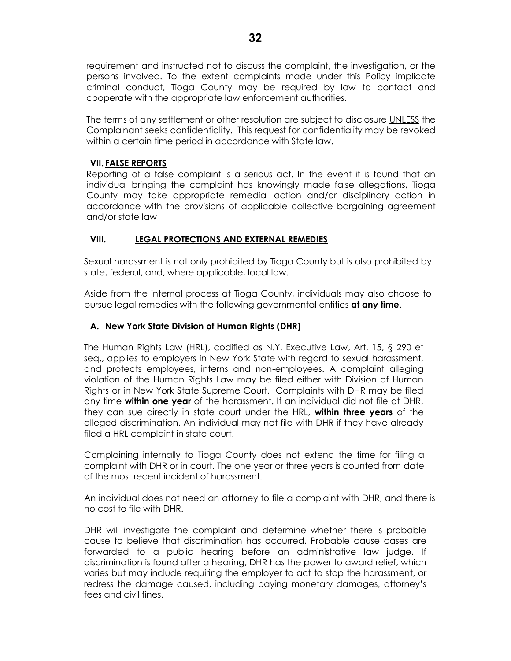requirement and instructed not to discuss the complaint, the investigation, or the persons involved. To the extent complaints made under this Policy implicate criminal conduct, Tioga County may be required by law to contact and cooperate with the appropriate law enforcement authorities.

The terms of any settlement or other resolution are subject to disclosure UNLESS the Complainant seeks confidentiality. This request for confidentiality may be revoked within a certain time period in accordance with State law.

## **VII. FALSE REPORTS**

Reporting of a false complaint is a serious act. In the event it is found that an individual bringing the complaint has knowingly made false allegations, Tioga County may take appropriate remedial action and/or disciplinary action in accordance with the provisions of applicable collective bargaining agreement and/or state law

## **VIII. LEGAL PROTECTIONS AND EXTERNAL REMEDIES**

Sexual harassment is not only prohibited by Tioga County but is also prohibited by state, federal, and, where applicable, local law.

Aside from the internal process at Tioga County, individuals may also choose to pursue legal remedies with the following governmental entities **at any time**.

## **A. New York State Division of Human Rights (DHR)**

The Human Rights Law (HRL), codified as N.Y. Executive Law, Art. 15, § 290 et seq., applies to employers in New York State with regard to sexual harassment, and protects employees, interns and non-employees. A complaint alleging violation of the Human Rights Law may be filed either with Division of Human Rights or in New York State Supreme Court. Complaints with DHR may be filed any time **within one year** of the harassment. If an individual did not file at DHR, they can sue directly in state court under the HRL, **within three years** of the alleged discrimination. An individual may not file with DHR if they have already filed a HRL complaint in state court.

Complaining internally to Tioga County does not extend the time for filing a complaint with DHR or in court. The one year or three years is counted from date of the most recent incident of harassment.

An individual does not need an attorney to file a complaint with DHR, and there is no cost to file with DHR.

DHR will investigate the complaint and determine whether there is probable cause to believe that discrimination has occurred. Probable cause cases are forwarded to a public hearing before an administrative law judge. If discrimination is found after a hearing, DHR has the power to award relief, which varies but may include requiring the employer to act to stop the harassment, or redress the damage caused, including paying monetary damages, attorney's fees and civil fines.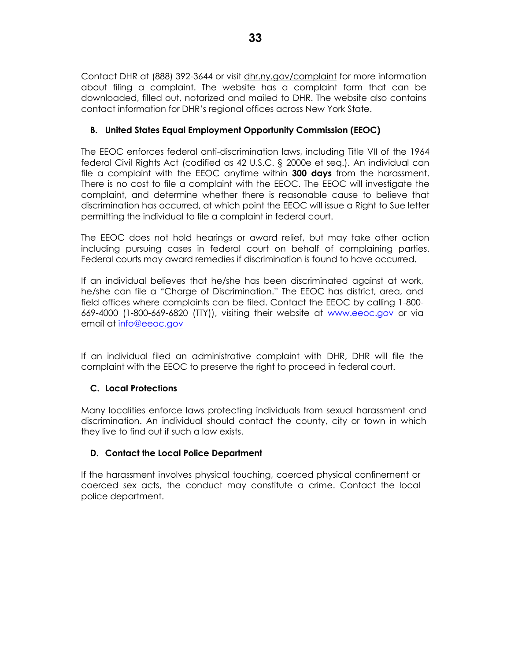Contact DHR at (888) 392-3644 or visit dhr.ny.gov/complaint for more information about filing a complaint. The website has a complaint form that can be downloaded, filled out, notarized and mailed to DHR. The website also contains contact information for DHR's regional offices across New York State.

## **B. United States Equal Employment Opportunity Commission (EEOC)**

The EEOC enforces federal anti-discrimination laws, including Title VII of the 1964 federal Civil Rights Act (codified as 42 U.S.C. § 2000e et seq.). An individual can file a complaint with the EEOC anytime within **300 days** from the harassment. There is no cost to file a complaint with the EEOC. The EEOC will investigate the complaint, and determine whether there is reasonable cause to believe that discrimination has occurred, at which point the EEOC will issue a Right to Sue letter permitting the individual to file a complaint in federal court.

The EEOC does not hold hearings or award relief, but may take other action including pursuing cases in federal court on behalf of complaining parties. Federal courts may award remedies if discrimination is found to have occurred.

If an individual believes that he/she has been discriminated against at work, he/she can file a "Charge of Discrimination." The EEOC has district, area, and field offices where complaints can be filed. Contact the EEOC by calling 1-800- 669-4000 (1-800-669-6820 (TTY)), visiting their website at [www.eeoc.gov](http://www.eeoc.gov/) or via email at [info@eeoc.gov](mailto:info@eeoc.gov)

If an individual filed an administrative complaint with DHR, DHR will file the complaint with the EEOC to preserve the right to proceed in federal court.

### **C. Local Protections**

Many localities enforce laws protecting individuals from sexual harassment and discrimination. An individual should contact the county, city or town in which they live to find out if such a law exists.

### **D. Contact the Local Police Department**

If the harassment involves physical touching, coerced physical confinement or coerced sex acts, the conduct may constitute a crime. Contact the local police department.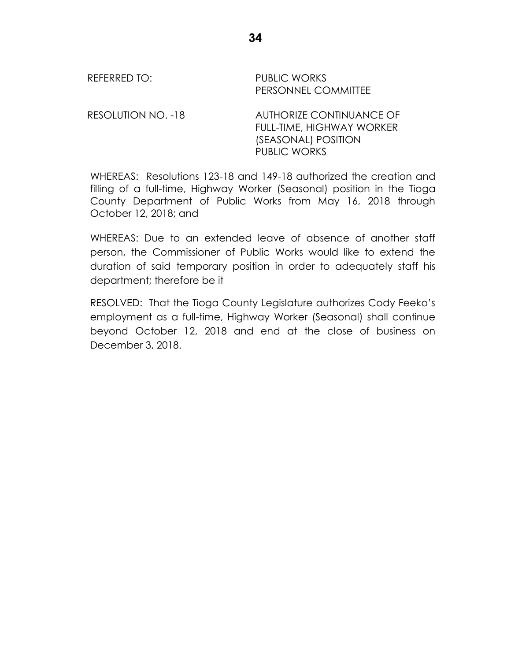REFERRED TO: PUBLIC WORKS PERSONNEL COMMITTEE

RESOLUTION NO. -18 AUTHORIZE CONTINUANCE OF FULL-TIME, HIGHWAY WORKER (SEASONAL) POSITION PUBLIC WORKS

WHEREAS: Resolutions 123-18 and 149-18 authorized the creation and filling of a full-time, Highway Worker (Seasonal) position in the Tioga County Department of Public Works from May 16, 2018 through October 12, 2018; and

WHEREAS: Due to an extended leave of absence of another staff person, the Commissioner of Public Works would like to extend the duration of said temporary position in order to adequately staff his department; therefore be it

RESOLVED: That the Tioga County Legislature authorizes Cody Feeko's employment as a full-time, Highway Worker (Seasonal) shall continue beyond October 12, 2018 and end at the close of business on December 3, 2018.